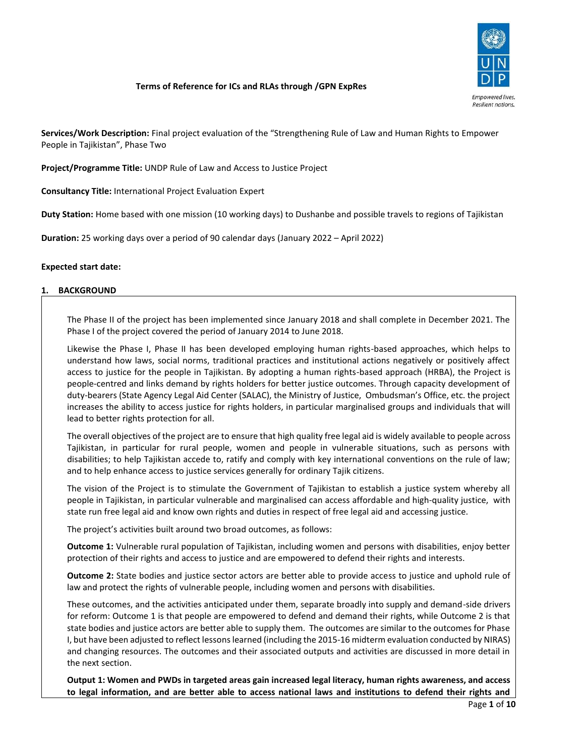

# **Terms of Reference for ICs and RLAs through /GPN ExpRes**

**Services/Work Description:** Final project evaluation of the "Strengthening Rule of Law and Human Rights to Empower People in Tajikistan", Phase Two

**Project/Programme Title:** UNDP Rule of Law and Access to Justice Project

**Consultancy Title:** International Project Evaluation Expert

**Duty Station:** Home based with one mission (10 working days) to Dushanbe and possible travels to regions of Tajikistan

**Duration:** 25 working days over a period of 90 calendar days (January 2022 – April 2022)

## **Expected start date:**

#### **1. BACKGROUND**

The Phase II of the project has been implemented since January 2018 and shall complete in December 2021. The Phase I of the project covered the period of January 2014 to June 2018.

Likewise the Phase I, Phase II has been developed employing human rights-based approaches, which helps to understand how laws, social norms, traditional practices and institutional actions negatively or positively affect access to justice for the people in Tajikistan. By adopting a human rights-based approach (HRBA), the Project is people-centred and links demand by rights holders for better justice outcomes. Through capacity development of duty-bearers (State Agency Legal Aid Center (SALAC), the Ministry of Justice, Ombudsman's Office, etc. the project increases the ability to access justice for rights holders, in particular marginalised groups and individuals that will lead to better rights protection for all.

The overall objectives of the project are to ensure that high quality free legal aid is widely available to people across Tajikistan, in particular for rural people, women and people in vulnerable situations, such as persons with disabilities; to help Tajikistan accede to, ratify and comply with key international conventions on the rule of law; and to help enhance access to justice services generally for ordinary Tajik citizens.

The vision of the Project is to stimulate the Government of Tajikistan to establish a justice system whereby all people in Tajikistan, in particular vulnerable and marginalised can access affordable and high-quality justice, with state run free legal aid and know own rights and duties in respect of free legal aid and accessing justice.

The project's activities built around two broad outcomes, as follows:

**Outcome 1:** Vulnerable rural population of Tajikistan, including women and persons with disabilities, enjoy better protection of their rights and access to justice and are empowered to defend their rights and interests.

**Outcome 2:** State bodies and justice sector actors are better able to provide access to justice and uphold rule of law and protect the rights of vulnerable people, including women and persons with disabilities.

These outcomes, and the activities anticipated under them, separate broadly into supply and demand-side drivers for reform: Outcome 1 is that people are empowered to defend and demand their rights, while Outcome 2 is that state bodies and justice actors are better able to supply them. The outcomes are similar to the outcomes for Phase I, but have been adjusted to reflect lessons learned (including the 2015-16 midterm evaluation conducted by NIRAS) and changing resources. The outcomes and their associated outputs and activities are discussed in more detail in the next section.

**Output 1: Women and PWDs in targeted areas gain increased legal literacy, human rights awareness, and access to legal information, and are better able to access national laws and institutions to defend their rights and**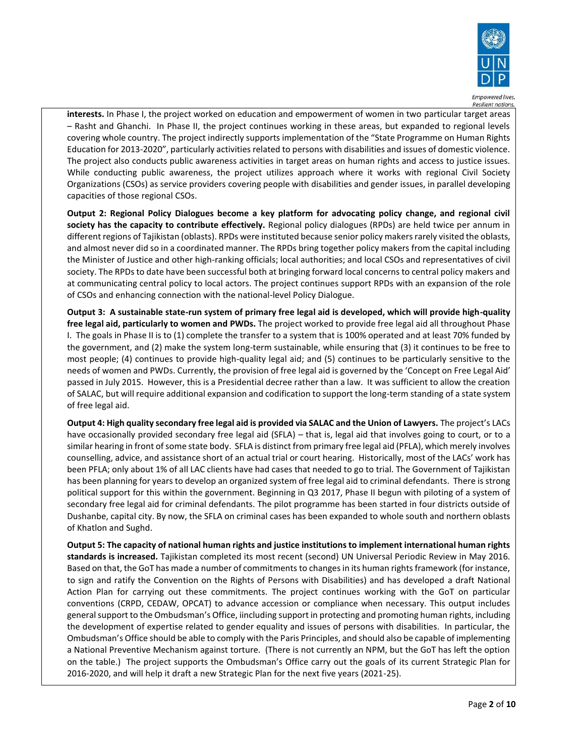

**interests.** In Phase I, the project worked on education and empowerment of women in two particular target areas – Rasht and Ghanchi. In Phase II, the project continues working in these areas, but expanded to regional levels covering whole country. The project indirectly supports implementation of the "State Programme on Human Rights Education for 2013-2020", particularly activities related to persons with disabilities and issues of domestic violence. The project also conducts public awareness activities in target areas on human rights and access to justice issues. While conducting public awareness, the project utilizes approach where it works with regional Civil Society Organizations (CSOs) as service providers covering people with disabilities and gender issues, in parallel developing capacities of those regional CSOs.

**Output 2: Regional Policy Dialogues become a key platform for advocating policy change, and regional civil society has the capacity to contribute effectively.** Regional policy dialogues (RPDs) are held twice per annum in different regions of Tajikistan (oblasts). RPDs were instituted because senior policy makers rarely visited the oblasts, and almost never did so in a coordinated manner. The RPDs bring together policy makers from the capital including the Minister of Justice and other high-ranking officials; local authorities; and local CSOs and representatives of civil society. The RPDs to date have been successful both at bringing forward local concerns to central policy makers and at communicating central policy to local actors. The project continues support RPDs with an expansion of the role of CSOs and enhancing connection with the national-level Policy Dialogue.

**Output 3: A sustainable state-run system of primary free legal aid is developed, which will provide high-quality free legal aid, particularly to women and PWDs.** The project worked to provide free legal aid all throughout Phase I. The goals in Phase II is to (1) complete the transfer to a system that is 100% operated and at least 70% funded by the government, and (2) make the system long-term sustainable, while ensuring that (3) it continues to be free to most people; (4) continues to provide high-quality legal aid; and (5) continues to be particularly sensitive to the needs of women and PWDs. Currently, the provision of free legal aid is governed by the 'Concept on Free Legal Aid' passed in July 2015. However, this is a Presidential decree rather than a law. It was sufficient to allow the creation of SALAC, but will require additional expansion and codification to support the long-term standing of a state system of free legal aid.

**Output 4: High quality secondary free legal aid is provided via SALAC and the Union of Lawyers.** The project's LACs have occasionally provided secondary free legal aid (SFLA) – that is, legal aid that involves going to court, or to a similar hearing in front of some state body. SFLA is distinct from primary free legal aid (PFLA), which merely involves counselling, advice, and assistance short of an actual trial or court hearing. Historically, most of the LACs' work has been PFLA; only about 1% of all LAC clients have had cases that needed to go to trial. The Government of Tajikistan has been planning for years to develop an organized system of free legal aid to criminal defendants. There is strong political support for this within the government. Beginning in Q3 2017, Phase II begun with piloting of a system of secondary free legal aid for criminal defendants. The pilot programme has been started in four districts outside of Dushanbe, capital city. By now, the SFLA on criminal cases has been expanded to whole south and northern oblasts of Khatlon and Sughd.

**Output 5: The capacity of national human rights and justice institutions to implement international human rights standards is increased.** Tajikistan completed its most recent (second) UN Universal Periodic Review in May 2016. Based on that, the GoT has made a number of commitments to changes in its human rights framework (for instance, to sign and ratify the Convention on the Rights of Persons with Disabilities) and has developed a draft National Action Plan for carrying out these commitments. The project continues working with the GoT on particular conventions (CRPD, CEDAW, OPCAT) to advance accession or compliance when necessary. This output includes general support to the Ombudsman's Office, iincluding support in protecting and promoting human rights, including the development of expertise related to gender equality and issues of persons with disabilities. In particular, the Ombudsman's Office should be able to comply with the Paris Principles, and should also be capable of implementing a National Preventive Mechanism against torture. (There is not currently an NPM, but the GoT has left the option on the table.) The project supports the Ombudsman's Office carry out the goals of its current Strategic Plan for 2016-2020, and will help it draft a new Strategic Plan for the next five years (2021-25).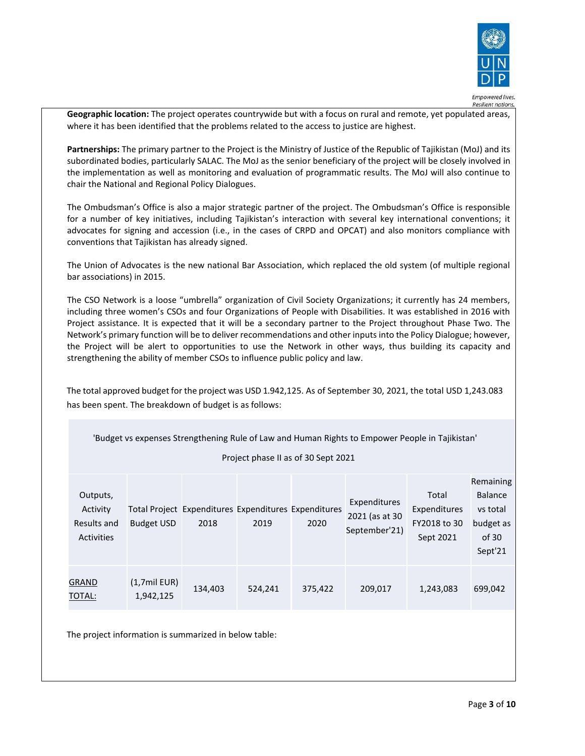

**Geographic location:** The project operates countrywide but with a focus on rural and remote, yet populated areas, where it has been identified that the problems related to the access to justice are highest.

**Partnerships:** The primary partner to the Project is the Ministry of Justice of the Republic of Tajikistan (MoJ) and its subordinated bodies, particularly SALAC. The MoJ as the senior beneficiary of the project will be closely involved in the implementation as well as monitoring and evaluation of programmatic results. The MoJ will also continue to chair the National and Regional Policy Dialogues.

The Ombudsman's Office is also a major strategic partner of the project. The Ombudsman's Office is responsible for a number of key initiatives, including Tajikistan's interaction with several key international conventions; it advocates for signing and accession (i.e., in the cases of CRPD and OPCAT) and also monitors compliance with conventions that Tajikistan has already signed.

The Union of Advocates is the new national Bar Association, which replaced the old system (of multiple regional bar associations) in 2015.

The CSO Network is a loose "umbrella" organization of Civil Society Organizations; it currently has 24 members, including three women's CSOs and four Organizations of People with Disabilities. It was established in 2016 with Project assistance. It is expected that it will be a secondary partner to the Project throughout Phase Two. The Network's primary function will be to deliver recommendations and other inputs into the Policy Dialogue; however, the Project will be alert to opportunities to use the Network in other ways, thus building its capacity and strengthening the ability of member CSOs to influence public policy and law.

The total approved budget for the project was USD 1.942,125. As of September 30, 2021, the total USD 1,243.083 has been spent. The breakdown of budget is as follows:

| 'Budget vs expenses Strengthening Rule of Law and Human Rights to Empower People in Tajikistan' |                                     |                                                              |         |         |                                                 |                                                    |                                                                          |  |  |
|-------------------------------------------------------------------------------------------------|-------------------------------------|--------------------------------------------------------------|---------|---------|-------------------------------------------------|----------------------------------------------------|--------------------------------------------------------------------------|--|--|
|                                                                                                 | Project phase II as of 30 Sept 2021 |                                                              |         |         |                                                 |                                                    |                                                                          |  |  |
| Outputs,<br>Activity<br>Results and<br>Activities                                               | <b>Budget USD</b>                   | Total Project Expenditures Expenditures Expenditures<br>2018 | 2019    | 2020    | Expenditures<br>2021 (as at 30<br>September'21) | Total<br>Expenditures<br>FY2018 to 30<br>Sept 2021 | Remaining<br><b>Balance</b><br>vs total<br>budget as<br>of 30<br>Sept'21 |  |  |
| GRAND<br>TOTAL:                                                                                 | $(1,7$ mil EUR)<br>1,942,125        | 134,403                                                      | 524,241 | 375,422 | 209,017                                         | 1,243,083                                          | 699,042                                                                  |  |  |

The project information is summarized in below table: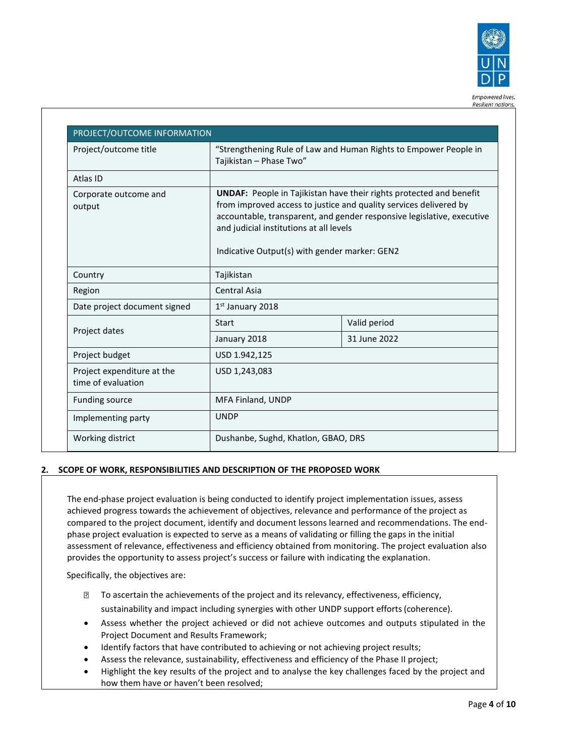

| Project/outcome title                            | "Strengthening Rule of Law and Human Rights to Empower People in<br>Tajikistan - Phase Two"                                                                                                                                                                                                                           |              |  |
|--------------------------------------------------|-----------------------------------------------------------------------------------------------------------------------------------------------------------------------------------------------------------------------------------------------------------------------------------------------------------------------|--------------|--|
| Atlas ID                                         |                                                                                                                                                                                                                                                                                                                       |              |  |
| Corporate outcome and<br>output                  | <b>UNDAF:</b> People in Tajikistan have their rights protected and benefit<br>from improved access to justice and quality services delivered by<br>accountable, transparent, and gender responsive legislative, executive<br>and judicial institutions at all levels<br>Indicative Output(s) with gender marker: GEN2 |              |  |
| Country                                          | Tajikistan                                                                                                                                                                                                                                                                                                            |              |  |
| Region                                           | Central Asia                                                                                                                                                                                                                                                                                                          |              |  |
| Date project document signed                     | 1st January 2018                                                                                                                                                                                                                                                                                                      |              |  |
|                                                  | Start                                                                                                                                                                                                                                                                                                                 | Valid period |  |
| Project dates                                    | January 2018                                                                                                                                                                                                                                                                                                          | 31 June 2022 |  |
| Project budget                                   | USD 1.942,125                                                                                                                                                                                                                                                                                                         |              |  |
| Project expenditure at the<br>time of evaluation | USD 1,243,083                                                                                                                                                                                                                                                                                                         |              |  |
| <b>Funding source</b>                            | MFA Finland, UNDP                                                                                                                                                                                                                                                                                                     |              |  |
| Implementing party                               | <b>UNDP</b>                                                                                                                                                                                                                                                                                                           |              |  |

# **2. SCOPE OF WORK, RESPONSIBILITIES AND DESCRIPTION OF THE PROPOSED WORK**

The end-phase project evaluation is being conducted to identify project implementation issues, assess achieved progress towards the achievement of objectives, relevance and performance of the project as compared to the project document, identify and document lessons learned and recommendations. The endphase project evaluation is expected to serve as a means of validating or filling the gaps in the initial assessment of relevance, effectiveness and efficiency obtained from monitoring. The project evaluation also provides the opportunity to assess project's success or failure with indicating the explanation.

Specifically, the objectives are:

- To ascertain the achievements of the project and its relevancy, effectiveness, efficiency, sustainability and impact including synergies with other UNDP support efforts(coherence).
- Assess whether the project achieved or did not achieve outcomes and outputs stipulated in the Project Document and Results Framework;
- Identify factors that have contributed to achieving or not achieving project results;
- Assess the relevance, sustainability, effectiveness and efficiency of the Phase II project;
- Highlight the key results of the project and to analyse the key challenges faced by the project and how them have or haven't been resolved;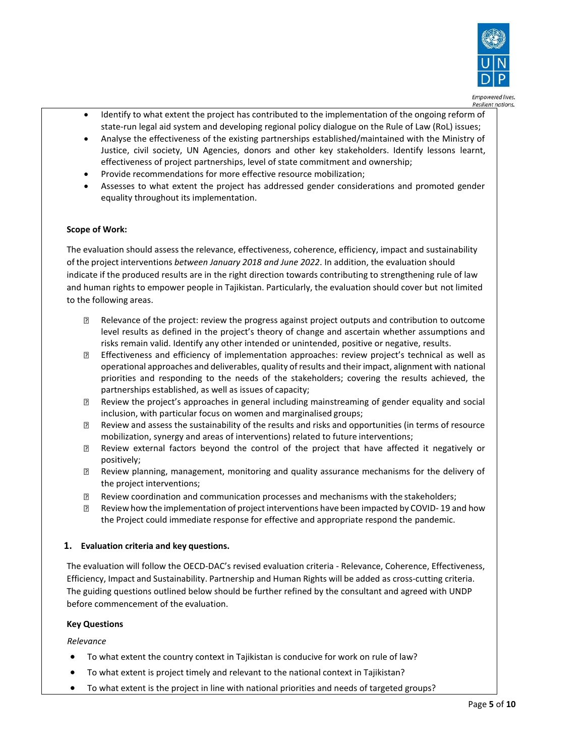

- Identify to what extent the project has contributed to the implementation of the ongoing reform of state-run legal aid system and developing regional policy dialogue on the Rule of Law (RoL) issues;
- Analyse the effectiveness of the existing partnerships established/maintained with the Ministry of Justice, civil society, UN Agencies, donors and other key stakeholders. Identify lessons learnt, effectiveness of project partnerships, level of state commitment and ownership;
- Provide recommendations for more effective resource mobilization;
- Assesses to what extent the project has addressed gender considerations and promoted gender equality throughout its implementation.

# **Scope of Work:**

The evaluation should assess the relevance, effectiveness, coherence, efficiency, impact and sustainability of the project interventions *between January 2018 and June 2022*. In addition, the evaluation should indicate if the produced results are in the right direction towards contributing to strengthening rule of law and human rights to empower people in Tajikistan. Particularly, the evaluation should cover but not limited to the following areas.

- Relevance of the project: review the progress against project outputs and contribution to outcome  $\overline{R}$ level results as defined in the project's theory of change and ascertain whether assumptions and risks remain valid. Identify any other intended or unintended, positive or negative, results.
- $\overline{?}$ Effectiveness and efficiency of implementation approaches: review project's technical as well as operational approaches and deliverables, quality ofresults and their impact, alignment with national priorities and responding to the needs of the stakeholders; covering the results achieved, the partnerships established, as well as issues of capacity;
- Review the project's approaches in general including mainstreaming of gender equality and social 7 inclusion, with particular focus on women and marginalised groups;
- Review and assess the sustainability of the results and risks and opportunities (in terms of resource  $\overline{2}$ mobilization, synergy and areas of interventions) related to future interventions;
- Review external factors beyond the control of the project that have affected it negatively or positively;
- Review planning, management, monitoring and quality assurance mechanisms for the delivery of  $\overline{R}$ the project interventions;
- Review coordination and communication processes and mechanisms with the stakeholders;  $\Box$
- $\overline{R}$ Review how the implementation of project interventions have been impacted by COVID- 19 and how the Project could immediate response for effective and appropriate respond the pandemic.

# **1. Evaluation criteria and key questions.**

The evaluation will follow the OECD-DAC's revised evaluation criteria - Relevance, Coherence, Effectiveness, Efficiency, Impact and Sustainability. Partnership and Human Rights will be added as cross-cutting criteria. The guiding questions outlined below should be further refined by the consultant and agreed with UNDP before commencement of the evaluation.

## **Key Questions**

*Relevance*

- To what extent the country context in Tajikistan is conducive for work on rule of law?
- To what extent is project timely and relevant to the national context in Tajikistan?
- To what extent is the project in line with national priorities and needs of targeted groups?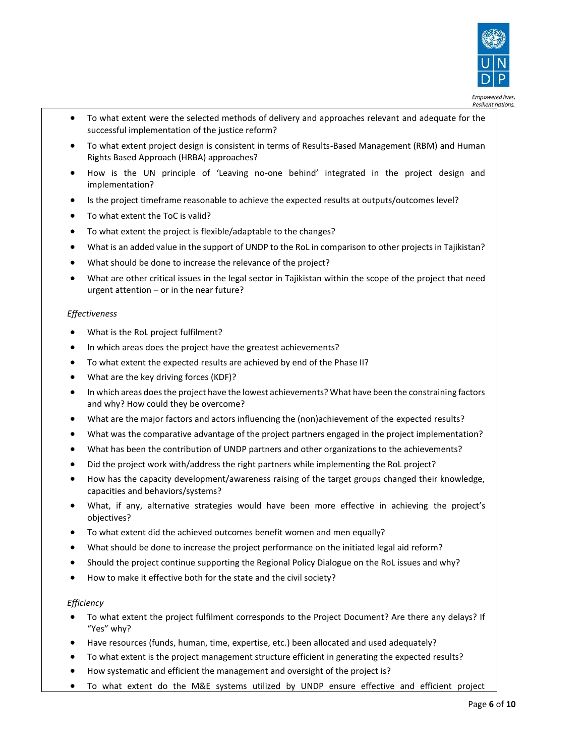

Resilient nations.

- To what extent were the selected methods of delivery and approaches relevant and adequate for the successful implementation of the justice reform?
- To what extent project design is consistent in terms of Results-Based Management (RBM) and Human Rights Based Approach (HRBA) approaches?
- How is the UN principle of 'Leaving no-one behind' integrated in the project design and implementation?
- Is the project timeframe reasonable to achieve the expected results at outputs/outcomes level?
- To what extent the ToC is valid?
- To what extent the project is flexible/adaptable to the changes?
- What is an added value in the support of UNDP to the RoL in comparison to other projects in Tajikistan?
- What should be done to increase the relevance of the project?
- What are other critical issues in the legal sector in Tajikistan within the scope of the project that need urgent attention – or in the near future?

#### *Effectiveness*

- What is the RoL project fulfilment?
- In which areas does the project have the greatest achievements?
- To what extent the expected results are achieved by end of the Phase II?
- What are the key driving forces (KDF)?
- In which areas does the project have the lowest achievements? What have been the constraining factors and why? How could they be overcome?
- What are the major factors and actors influencing the (non)achievement of the expected results?
- What was the comparative advantage of the project partners engaged in the project implementation?
- What has been the contribution of UNDP partners and other organizations to the achievements?
- Did the project work with/address the right partners while implementing the RoL project?
- How has the capacity development/awareness raising of the target groups changed their knowledge, capacities and behaviors/systems?
- What, if any, alternative strategies would have been more effective in achieving the project's objectives?
- To what extent did the achieved outcomes benefit women and men equally?
- What should be done to increase the project performance on the initiated legal aid reform?
- Should the project continue supporting the Regional Policy Dialogue on the RoL issues and why?
- How to make it effective both for the state and the civil society?

#### *Efficiency*

- To what extent the project fulfilment corresponds to the Project Document? Are there any delays? If "Yes" why?
- Have resources (funds, human, time, expertise, etc.) been allocated and used adequately?
- To what extent is the project management structure efficient in generating the expected results?
- How systematic and efficient the management and oversight of the project is?
- To what extent do the M&E systems utilized by UNDP ensure effective and efficient project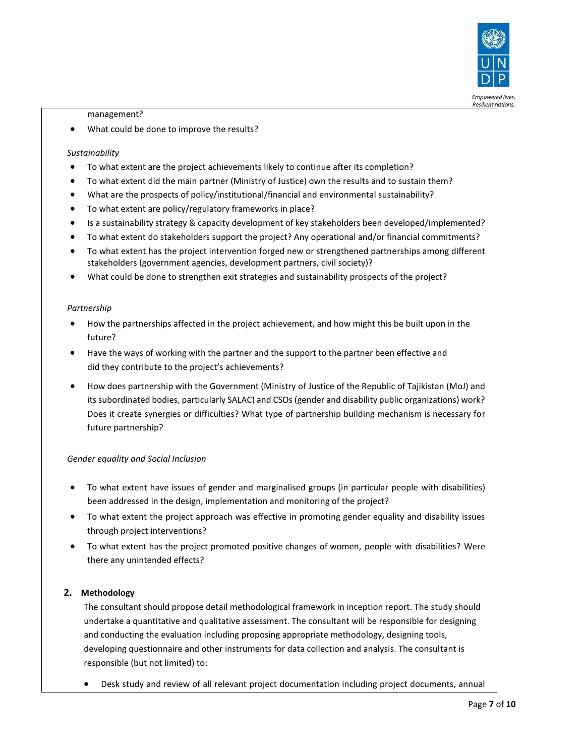

**Resilient nations.** 

management?

• What could be done to improve the results?

# *Sustainability*

- To what extent are the project achievements likely to continue after its completion?
- To what extent did the main partner (Ministry of Justice) own the results and to sustain them?
- What are the prospects of policy/institutional/financial and environmental sustainability?
- To what extent are policy/regulatory frameworks in place?
- Is a sustainability strategy & capacity development of key stakeholders been developed/implemented?
- To what extent do stakeholders support the project? Any operational and/or financial commitments?
- To what extent has the project intervention forged new or strengthened partnerships among different stakeholders (government agencies, development partners, civil society)?
- What could be done to strengthen exit strategies and sustainability prospects of the project?

#### *Partnership*

- How the partnerships affected in the project achievement, and how might this be built upon in the future?
- Have the ways of working with the partner and the support to the partner been effective and did they contribute to the project's achievements?
- How does partnership with the Government (Ministry of Justice of the Republic of Tajikistan (MoJ) and its subordinated bodies, particularly SALAC) and CSOs (gender and disability public organizations) work? Does it create synergies or difficulties? What type of partnership building mechanism is necessary for future partnership?

## *Gender equality and Social Inclusion*

- To what extent have issues of gender and marginalised groups (in particular people with disabilities) been addressed in the design, implementation and monitoring of the project?
- To what extent the project approach was effective in promoting gender equality and disability issues through project interventions?
- To what extent has the project promoted positive changes of women, people with disabilities? Were there any unintended effects?

## **2. Methodology**

The consultant should propose detail methodological framework in inception report. The study should undertake a quantitative and qualitative assessment. The consultant will be responsible for designing and conducting the evaluation including proposing appropriate methodology, designing tools, developing questionnaire and other instruments for data collection and analysis. The consultant is responsible (but not limited) to:

• Desk study and review of all relevant project documentation including project documents, annual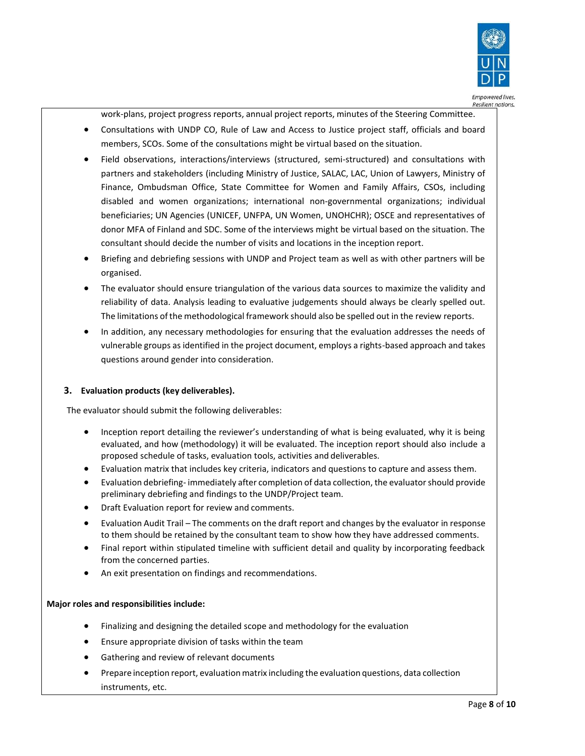

work-plans, project progress reports, annual project reports, minutes of the Steering Committee.

- Consultations with UNDP CO, Rule of Law and Access to Justice project staff, officials and board members, SCOs. Some of the consultations might be virtual based on the situation.
- Field observations, interactions/interviews (structured, semi-structured) and consultations with partners and stakeholders (including Ministry of Justice, SALAC, LAC, Union of Lawyers, Ministry of Finance, Ombudsman Office, State Committee for Women and Family Affairs, CSOs, including disabled and women organizations; international non-governmental organizations; individual beneficiaries; UN Agencies (UNICEF, UNFPA, UN Women, UNOHCHR); OSCE and representatives of donor MFA of Finland and SDC. Some of the interviews might be virtual based on the situation. The consultant should decide the number of visits and locations in the inception report.
- Briefing and debriefing sessions with UNDP and Project team as well as with other partners will be organised.
- The evaluator should ensure triangulation of the various data sources to maximize the validity and reliability of data. Analysis leading to evaluative judgements should always be clearly spelled out. The limitations of the methodological framework should also be spelled out in the review reports.
- In addition, any necessary methodologies for ensuring that the evaluation addresses the needs of vulnerable groups as identified in the project document, employs a rights-based approach and takes questions around gender into consideration.

## **3. Evaluation products (key deliverables).**

The evaluator should submit the following deliverables:

- Inception report detailing the reviewer's understanding of what is being evaluated, why it is being evaluated, and how (methodology) it will be evaluated. The inception report should also include a proposed schedule of tasks, evaluation tools, activities and deliverables.
- Evaluation matrix that includes key criteria, indicators and questions to capture and assess them.
- Evaluation debriefing- immediately after completion of data collection, the evaluator should provide preliminary debriefing and findings to the UNDP/Project team.
- Draft Evaluation report for review and comments.
- Evaluation Audit Trail The comments on the draft report and changes by the evaluator in response to them should be retained by the consultant team to show how they have addressed comments.
- Final report within stipulated timeline with sufficient detail and quality by incorporating feedback from the concerned parties.
- An exit presentation on findings and recommendations.

## **Major roles and responsibilities include:**

- Finalizing and designing the detailed scope and methodology for the evaluation
- Ensure appropriate division of tasks within the team
- Gathering and review of relevant documents
- Prepare inception report, evaluation matrix including the evaluation questions, data collection instruments, etc.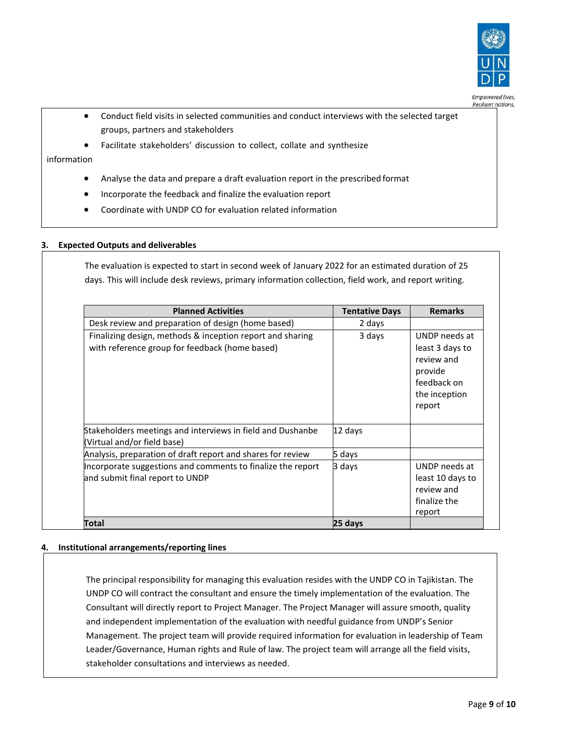

- Conduct field visits in selected communities and conduct interviews with the selected target groups, partners and stakeholders
- Facilitate stakeholders' discussion to collect, collate and synthesize

# information

- Analyse the data and prepare a draft evaluation report in the prescribed format
- Incorporate the feedback and finalize the evaluation report
- Coordinate with UNDP CO for evaluation related information

## **3. Expected Outputs and deliverables**

The evaluation is expected to start in second week of January 2022 for an estimated duration of 25 days. This will include desk reviews, primary information collection, field work, and report writing.

| <b>Planned Activities</b>                                                                                   | <b>Tentative Days</b> | <b>Remarks</b>                                                                                      |
|-------------------------------------------------------------------------------------------------------------|-----------------------|-----------------------------------------------------------------------------------------------------|
| Desk review and preparation of design (home based)                                                          | 2 days                |                                                                                                     |
| Finalizing design, methods & inception report and sharing<br>with reference group for feedback (home based) | 3 days                | UNDP needs at<br>least 3 days to<br>review and<br>provide<br>feedback on<br>the inception<br>report |
| Stakeholders meetings and interviews in field and Dushanbe<br>(Virtual and/or field base)                   | 12 days               |                                                                                                     |
| Analysis, preparation of draft report and shares for review                                                 | 5 days                |                                                                                                     |
| Incorporate suggestions and comments to finalize the report<br>and submit final report to UNDP              | 3 days                | UNDP needs at<br>least 10 days to<br>review and<br>finalize the<br>report                           |
| Total                                                                                                       | 25 days               |                                                                                                     |

#### **4. Institutional arrangements/reporting lines**

The principal responsibility for managing this evaluation resides with the UNDP CO in Tajikistan. The UNDP CO will contract the consultant and ensure the timely implementation of the evaluation. The Consultant will directly report to Project Manager. The Project Manager will assure smooth, quality and independent implementation of the evaluation with needful guidance from UNDP's Senior Management. The project team will provide required information for evaluation in leadership of Team Leader/Governance, Human rights and Rule of law. The project team will arrange all the field visits, stakeholder consultations and interviews as needed.